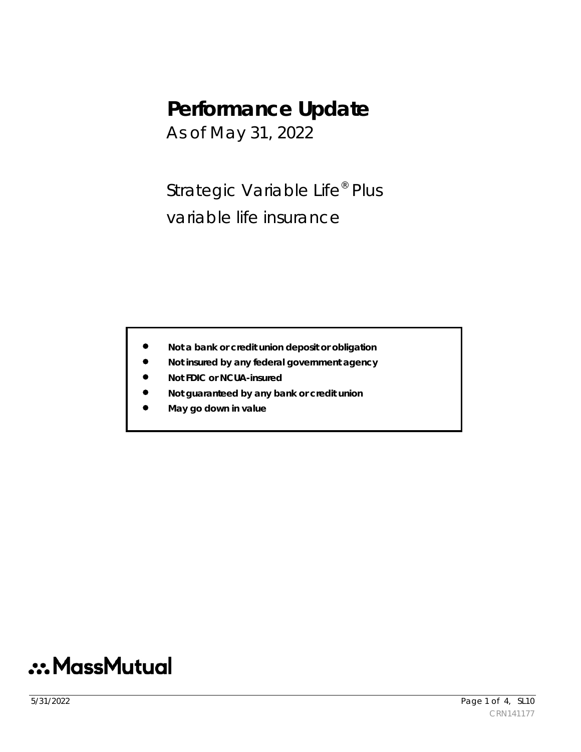# **Performance Update**

As of May 31, 2022

Strategic Variable Life<sup>®</sup> Plus variable life insurance

- **Not a bank or credit union deposit or obligation**
- **Not insured by any federal government agency**
- **Not FDIC or NCUA-insured**
- **Not guaranteed by any bank or credit union**
- **May go down in value**

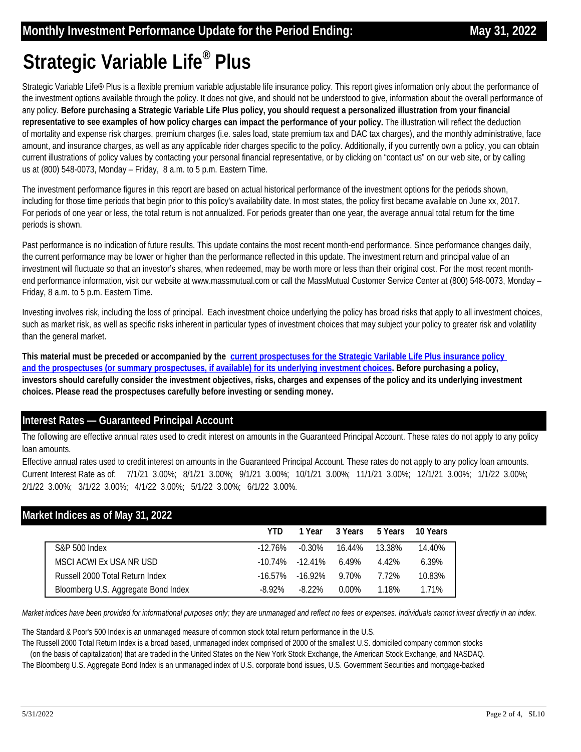# **Strategic Variable Life® Plus**

Strategic Variable Life<sup>®</sup> Plus is a flexible premium variable adjustable life insurance policy. This report gives information only about the performance of the investment options available through the policy. It does not give, and should not be understood to give, information about the overall performance of any policy. **Before purchasing a Strategic Variable Life Plus policy, you should request a personalized illustration from your financial representative to see examples of how policy charges can impact the performance of your policy.** The illustration will reflect the deduction of mortality and expense risk charges, premium charges (i.e. sales load, state premium tax and DAC tax charges), and the monthly administrative, face amount, and insurance charges, as well as any applicable rider charges specific to the policy. Additionally, if you currently own a policy, you can obtain current illustrations of policy values by contacting your personal financial representative, or by clicking on "contact us" on our web site, or by calling us at (800) 548-0073, Monday – Friday, 8 a.m. to 5 p.m. Eastern Time.

The investment performance figures in this report are based on actual historical performance of the investment options for the periods shown, including for those time periods that begin prior to this policy's availability date. In most states, the policy first became available on June xx, 2017. For periods of one year or less, the total return is not annualized. For periods greater than one year, the average annual total return for the time periods is shown.

Past performance is no indication of future results. This update contains the most recent month-end performance. Since performance changes daily, the current performance may be lower or higher than the performance reflected in this update. The investment return and principal value of an investment will fluctuate so that an investor's shares, when redeemed, may be worth more or less than their original cost. For the most recent monthend performance information, visit our website at www.massmutual.com or call the MassMutual Customer Service Center at (800) 548-0073, Monday – Friday, 8 a.m. to 5 p.m. Eastern Time.

Investing involves risk, including the loss of principal. Each investment choice underlying the policy has broad risks that apply to all investment choices, such as market risk, as well as specific risks inherent in particular types of investment choices that may subject your policy to greater risk and volatility than the general market.

**This material must be preceded or accompanied by the current prospectuses for the Strategic Varilable Life Plus insurance policy and the prospectuses (or summary prospectuses, if available) for its underlying investment choices. Before purchasing a policy, [investors should carefully consider the investment objectives, risks, charges and expenses of the policy and its underlying investment](https://www.massmutual.com/product-performance/product-performance-listing-page/strategic-variable-life-plus)  choices. Please read the prospectuses carefully before investing or sending money.** 

### **Interest Rates — Guaranteed Principal Account**

The following are effective annual rates used to credit interest on amounts in the Guaranteed Principal Account. These rates do not apply to any policy loan amounts.

Effective annual rates used to credit interest on amounts in the Guaranteed Principal Account. These rates do not apply to any policy loan amounts. Current Interest Rate as of: 7/1/21 3.00%; 8/1/21 3.00%; 9/1/21 3.00%; 10/1/21 3.00%; 11/1/21 3.00%; 12/1/21 3.00%; 1/1/22 3.00%; 2/1/22 3.00%; 3/1/22 3.00%; 4/1/22 3.00%; 5/1/22 3.00%; 6/1/22 3.00%.

### **Market Indices as of May 31, 2022**

|                                     | YTD.       | 1 Year                | 3 Years |        | 5 Years 10 Years |
|-------------------------------------|------------|-----------------------|---------|--------|------------------|
| <b>S&amp;P 500 Index</b>            | $-12.76\%$ | $-0.30\%$             | 16.44%  | 13.38% | 14.40%           |
| MSCLACWLEX USA NR USD               |            | $-10.74\%$ $-12.41\%$ | 6.49%   | 4.42%  | 6.39%            |
| Russell 2000 Total Return Index     | $-16.57\%$ | $-16.92\%$            | 9.70%   | 7.72%  | 10.83%           |
| Bloomberg U.S. Aggregate Bond Index | $-8.92\%$  | $-8.22\%$             | 0.00%   | 1.18%  | 1.71%            |

*Market indices have been provided for informational purposes only; they are unmanaged and reflect no fees or expenses. Individuals cannot invest directly in an index.* 

The Standard & Poor's 500 Index is an unmanaged measure of common stock total return performance in the U.S.

The Russell 2000 Total Return Index is a broad based, unmanaged index comprised of 2000 of the smallest U.S. domiciled company common stocks (on the basis of capitalization) that are traded in the United States on the New York Stock Exchange, the American Stock Exchange, and NASDAQ.

The Bloomberg U.S. Aggregate Bond Index is an unmanaged index of U.S. corporate bond issues, U.S. Government Securities and mortgage-backed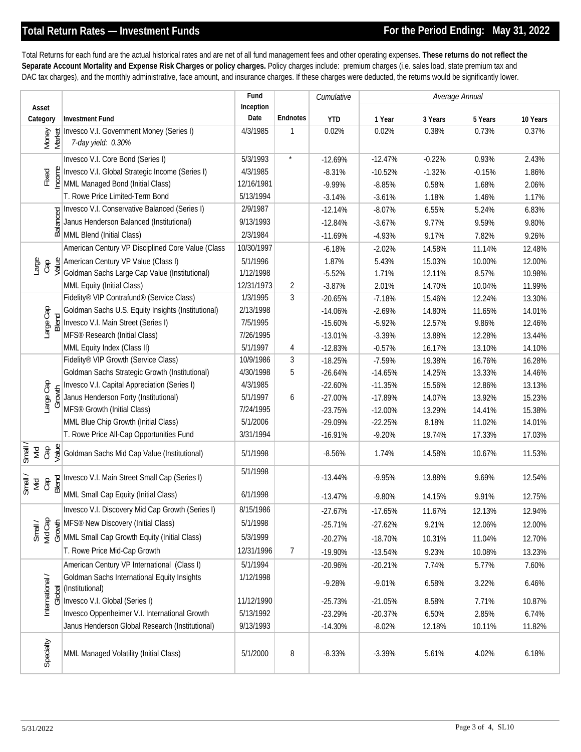Total Returns for each fund are the actual historical rates and are net of all fund management fees and other operating expenses. **These returns do not reflect the Separate Account Mortality and Expense Risk Charges or policy charges.** Policy charges include: premium charges (i.e. sales load, state premium tax and DAC tax charges), and the monthly administrative, face amount, and insurance charges. If these charges were deducted, the returns would be significantly lower.

|                           |                                                                                                                                                                                                   | Fund       |                 | Cumulative | Average Annual |          |                   |          |
|---------------------------|---------------------------------------------------------------------------------------------------------------------------------------------------------------------------------------------------|------------|-----------------|------------|----------------|----------|-------------------|----------|
| Asset                     |                                                                                                                                                                                                   | Inception  |                 |            |                |          |                   |          |
| Category                  | <b>Investment Fund</b>                                                                                                                                                                            | Date       | <b>Endnotes</b> | <b>YTD</b> | 1 Year         | 3 Years  | 5 Years           | 10 Years |
| Money<br>Market           | Invesco V.I. Government Money (Series I)<br>7-day yield: 0.30%                                                                                                                                    | 4/3/1985   | 1               | 0.02%      | 0.02%          | 0.38%    | 0.73%             | 0.37%    |
| Fixed                     | Invesco V.I. Core Bond (Series I)                                                                                                                                                                 | 5/3/1993   | $\star$         | $-12.69%$  | $-12.47%$      | $-0.22%$ | 0.93%             | 2.43%    |
|                           | e    Invesco V.I. Global Strategic Incom<br> e    MML Managed Bond (Initial Class)<br>Invesco V.I. Global Strategic Income (Series I)                                                             | 4/3/1985   |                 | $-8.31%$   | $-10.52%$      | $-1.32%$ | $-0.15%$          | 1.86%    |
|                           |                                                                                                                                                                                                   | 12/16/1981 |                 | $-9.99%$   | $-8.85%$       | 0.58%    | 1.68%             | 2.06%    |
|                           | T. Rowe Price Limited-Term Bond                                                                                                                                                                   | 5/13/1994  |                 | $-3.14%$   | $-3.61%$       | 1.18%    | 1.46%             | 1.17%    |
|                           |                                                                                                                                                                                                   | 2/9/1987   |                 | $-12.14%$  | $-8.07%$       | 6.55%    | 5.24%             | 6.83%    |
|                           |                                                                                                                                                                                                   | 9/13/1993  |                 | $-12.84%$  | $-3.67%$       | 9.77%    | 9.59%             | 9.80%    |
|                           | Envesco V.I. Conservative Balanced (Series I)<br>Lanus Henderson Balanced (Institutional)<br>Enveloped (Institutional)<br>Enveloped (Initial Class)                                               | 2/3/1984   |                 | $-11.69%$  | $-4.93%$       | 9.17%    | 7.82%             | 9.26%    |
| Large                     | American Century VP Disciplined Core Value (Class                                                                                                                                                 | 10/30/1997 |                 | $-6.18%$   | $-2.02%$       | 14.58%   | 11.14%            | 12.48%   |
|                           | $\underset{\text{C}}{\bigoplus} \frac{\mathfrak{B}}{\mathfrak{B}}$ American Century VP Value (Class I)<br>Coldman Sachs Large Cap Value (Institutional)                                           | 5/1/1996   |                 | 1.87%      | 5.43%          | 15.03%   | 10.00%            | 12.00%   |
|                           |                                                                                                                                                                                                   | 1/12/1998  |                 | $-5.52%$   | 1.71%          | 12.11%   | 8.57%             | 10.98%   |
|                           | MML Equity (Initial Class)                                                                                                                                                                        | 12/31/1973 | $\overline{2}$  | $-3.87%$   | 2.01%          | 14.70%   | 10.04%            | 11.99%   |
|                           | Fidelity® VIP Contrafund® (Service Class)                                                                                                                                                         | 1/3/1995   | $\mathfrak{Z}$  | $-20.65%$  | $-7.18%$       | 15.46%   | 12.24%            | 13.30%   |
|                           | Goldman Sachs U.S. Equity Insights (Institutional)                                                                                                                                                | 2/13/1998  |                 | $-14.06%$  | $-2.69%$       | 14.80%   | 11.65%            | 14.01%   |
| Large Cap<br>Blend        | Invesco V.I. Main Street (Series I)                                                                                                                                                               | 7/5/1995   |                 | $-15.60%$  | $-5.92%$       | 12.57%   | 9.86%             | 12.46%   |
|                           | MFS® Research (Initial Class)                                                                                                                                                                     | 7/26/1995  |                 | $-13.01%$  | $-3.39%$       | 13.88%   | 12.28%            | 13.44%   |
|                           | MML Equity Index (Class II)                                                                                                                                                                       | 5/1/1997   | 4               | $-12.83%$  | $-0.57%$       | 16.17%   | 13.10%            | 14.10%   |
| Large Cap<br>Growth       | Fidelity® VIP Growth (Service Class)                                                                                                                                                              | 10/9/1986  | 3               | $-18.25%$  | $-7.59%$       | 19.38%   | 16.76%            | 16.28%   |
|                           | Goldman Sachs Strategic Growth (Institutional)                                                                                                                                                    | 4/30/1998  | 5               | $-26.64%$  | $-14.65%$      | 14.25%   | 13.33%            | 14.46%   |
|                           | Invesco V.I. Capital Appreciation (Series I)                                                                                                                                                      | 4/3/1985   |                 | $-22.60%$  | $-11.35%$      | 15.56%   | 12.86%            | 13.13%   |
|                           | Janus Henderson Forty (Institutional)                                                                                                                                                             | 5/1/1997   | 6               | $-27.00%$  | $-17.89%$      | 14.07%   | 13.92%            | 15.23%   |
|                           | MFS <sup>®</sup> Growth (Initial Class)                                                                                                                                                           | 7/24/1995  |                 | $-23.75%$  | $-12.00%$      | 13.29%   | 14.41%            | 15.38%   |
|                           | MML Blue Chip Growth (Initial Class)                                                                                                                                                              | 5/1/2006   |                 | -29.09%    | $-22.25%$      | 8.18%    | 11.02%            | 14.01%   |
|                           | T. Rowe Price All-Cap Opportunities Fund                                                                                                                                                          | 3/31/1994  |                 | $-16.91%$  | $-9.20%$       | 19.74%   | 17.33%            | 17.03%   |
| Small.<br>Мid             | $\frac{a}{c}$ $\frac{a}{c}$ Goldman Sachs Mid Cap Value (Institutional)                                                                                                                           | 5/1/1998   |                 | $-8.56%$   | 1.74%          | 14.58%   | 10.67%            | 11.53%   |
| Small /<br>Mid<br>Cap     | $\frac{1}{\frac{1}{20}}$ Invesco V.I. Main Street Small Cap (Series I)                                                                                                                            | 5/1/1998   |                 | $-13.44%$  | $-9.95%$       | 13.88%   | 9.69%             | 12.54%   |
|                           | MML Small Cap Equity (Initial Class)                                                                                                                                                              | 6/1/1998   |                 | $-13.47%$  | $-9.80%$       | 14.15%   | 9.91%             | 12.75%   |
|                           | Invesco V.I. Discovery Mid Cap Growth (Series I)                                                                                                                                                  | 8/15/1986  |                 | $-27.67%$  | $-17.65%$      | 11.67%   | 12.13%            | 12.94%   |
|                           | $\sum_{\overline{S}}$ $\overline{S}$ $\overline{S}$ MFS <sup>®</sup> New Discovery (Initial Class)<br>$\overline{S}$ $\overline{S}$ $\overline{S}$ of MML Small Cap Growth Equity (Initial Class) | 5/1/1998   |                 | $-25.71%$  | $-27.62%$      | 9.21%    | 12.06%            | 12.00%   |
|                           |                                                                                                                                                                                                   | 5/3/1999   |                 | $-20.27%$  | $-18.70%$      | 10.31%   | 11.04%            | 12.70%   |
|                           | T. Rowe Price Mid-Cap Growth                                                                                                                                                                      | 12/31/1996 | $\overline{7}$  | $-19.90%$  | $-13.54%$      | 9.23%    | 10.08%            | 13.23%   |
| International /<br>Global | American Century VP International (Class I)                                                                                                                                                       | 5/1/1994   |                 | $-20.96%$  | $-20.21%$      | 7.74%    | 5.77%             | 7.60%    |
|                           | Goldman Sachs International Equity Insights<br>(Institutional)                                                                                                                                    | 1/12/1998  |                 | $-9.28%$   | $-9.01%$       | 6.58%    | 3.22%             | 6.46%    |
|                           | Invesco V.I. Global (Series I)                                                                                                                                                                    | 11/12/1990 |                 | $-25.73%$  | $-21.05%$      | 8.58%    | 7.71%             | 10.87%   |
|                           | Invesco Oppenheimer V.I. International Growth                                                                                                                                                     | 5/13/1992  |                 | $-23.29%$  | $-20.37%$      | 6.50%    | 2.85%             | 6.74%    |
|                           | Janus Henderson Global Research (Institutional)                                                                                                                                                   | 9/13/1993  |                 | $-14.30%$  | $-8.02%$       | 12.18%   | 10.11%            | 11.82%   |
|                           |                                                                                                                                                                                                   |            |                 |            |                |          |                   |          |
| Specialty                 | MML Managed Volatility (Initial Class)                                                                                                                                                            | 5/1/2000   | 8               | $-8.33%$   | $-3.39%$       | 5.61%    | 4.02%             | 6.18%    |
| 5/31/2022                 |                                                                                                                                                                                                   |            |                 |            |                |          | Page 3 of 4, SL10 |          |